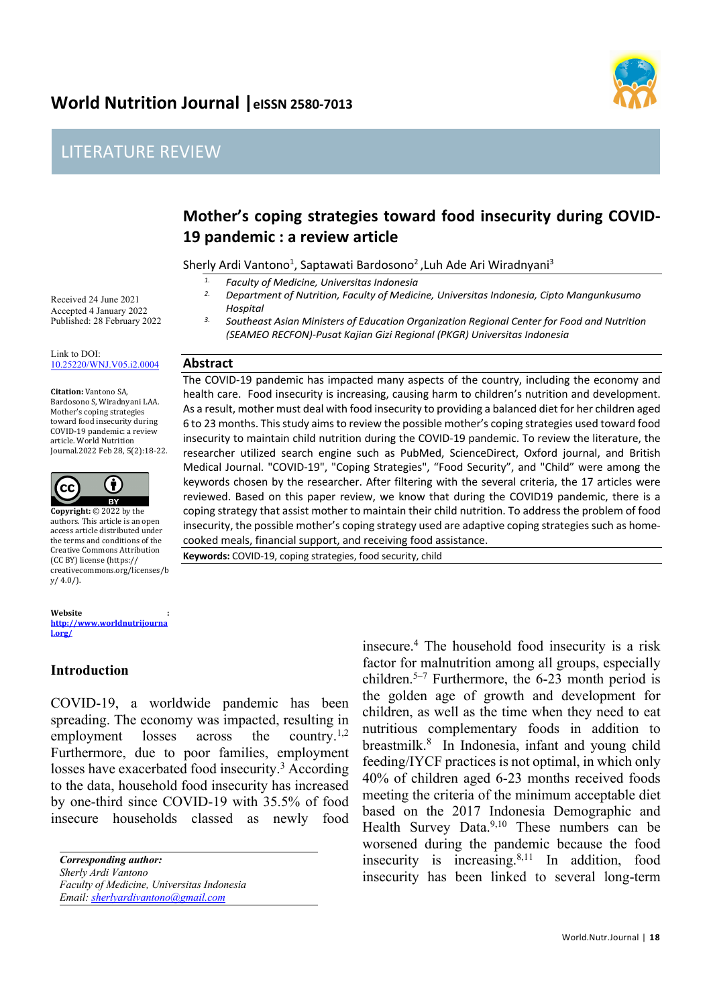# **World Nutrition Journal |eISSN 2580-7013**





# **Mother's coping strategies toward food insecurity during COVID-19 pandemic : a review article**

Sherly Ardi Vantono<sup>1</sup>, Saptawati Bardosono<sup>2</sup>, Luh Ade Ari Wiradnyani<sup>3</sup>

*1. Faculty of Medicine, Universitas Indonesia*

*2. Department of Nutrition, Faculty of Medicine, Universitas Indonesia, Cipto Mangunkusumo Hospital*

*3. Southeast Asian Ministers of Education Organization Regional Center for Food and Nutrition (SEAMEO RECFON)-Pusat Kajian Gizi Regional (PKGR) Universitas Indonesia*

#### **Abstract**

The COVID-19 pandemic has impacted many aspects of the country, including the economy and health care. Food insecurity is increasing, causing harm to children's nutrition and development. As a result, mother must deal with food insecurity to providing a balanced diet for her children aged 6 to 23 months. This study aims to review the possible mother's coping strategies used toward food insecurity to maintain child nutrition during the COVID-19 pandemic. To review the literature, the researcher utilized search engine such as PubMed, ScienceDirect, Oxford journal, and British Medical Journal. "COVID-19", "Coping Strategies", "Food Security", and "Child" were among the keywords chosen by the researcher. After filtering with the several criteria, the 17 articles were reviewed. Based on this paper review, we know that during the COVID19 pandemic, there is a coping strategy that assist mother to maintain their child nutrition. To address the problem of food insecurity, the possible mother's coping strategy used are adaptive coping strategies such as homecooked meals, financial support, and receiving food assistance.

**Keywords:** COVID-19, coping strategies, food security, child

Received 24 June 2021 Accepted 4 January 2022 Published: 28 February 2022

Link to DOI: 10.25220/WNJ.V05.i2.0004

**Citation:** Vantono SA, Bardosono S, Wiradnyani LAA. Mother's coping strategies toward food insecurity during COVID-19 pandemic: a review article. World Nutrition Journal.2022 Feb 28, 5(2):18-22.



**Copyright:** © 2022 by the authors. This article is an open access article distributed under the terms and conditions of the Creative Commons Attribution (CC BY) license (https:// creativecommons.org/licenses/b  $y/4.0/$ ).

**Website http://www.worldnutrijourna l.org/**

### **Introduction**

COVID-19, a worldwide pandemic has been spreading. The economy was impacted, resulting in employment losses across the country.<sup>1,2</sup> Furthermore, due to poor families, employment losses have exacerbated food insecurity.<sup>3</sup> According to the data, household food insecurity has increased by one-third since COVID-19 with 35.5% of food insecure households classed as newly food

*Faculty of Medicine, Universitas Indonesia Email: sherlyardivantono@gmail.com*

insecure.4 The household food insecurity is a risk factor for malnutrition among all groups, especially children.<sup>5–7</sup> Furthermore, the 6-23 month period is the golden age of growth and development for children, as well as the time when they need to eat nutritious complementary foods in addition to breastmilk.8 In Indonesia, infant and young child feeding/IYCF practices is not optimal, in which only 40% of children aged 6-23 months received foods meeting the criteria of the minimum acceptable diet based on the 2017 Indonesia Demographic and Health Survey Data.<sup>9,10</sup> These numbers can be worsened during the pandemic because the food insecurity is increasing. $8,11$  In addition, food insecurity has been linked to several long-term

*Corresponding author:*

*Sherly Ardi Vantono*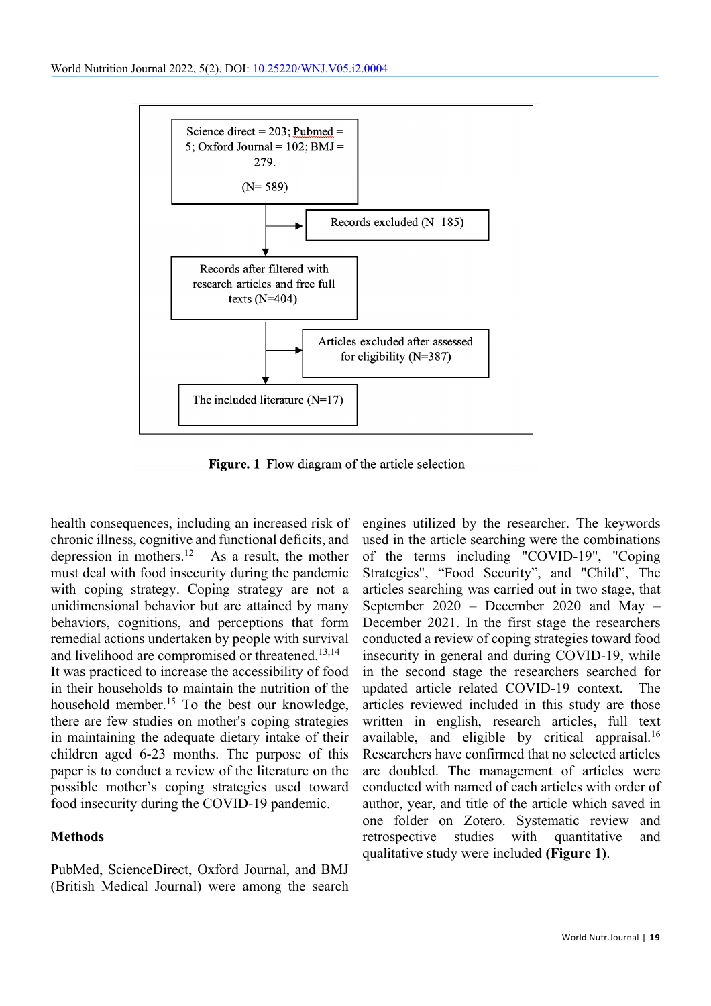

Figure. 1 Flow diagram of the article selection

health consequences, including an increased risk of chronic illness, cognitive and functional deficits, and depression in mothers.12 As a result, the mother must deal with food insecurity during the pandemic with coping strategy. Coping strategy are not a unidimensional behavior but are attained by many behaviors, cognitions, and perceptions that form remedial actions undertaken by people with survival and livelihood are compromised or threatened.13,14 It was practiced to increase the accessibility of food in their households to maintain the nutrition of the household member.<sup>15</sup> To the best our knowledge, there are few studies on mother's coping strategies in maintaining the adequate dietary intake of their children aged 6-23 months. The purpose of this paper is to conduct a review of the literature on the possible mother's coping strategies used toward food insecurity during the COVID-19 pandemic.

### **Methods**

PubMed, ScienceDirect, Oxford Journal, and BMJ (British Medical Journal) were among the search engines utilized by the researcher. The keywords used in the article searching were the combinations of the terms including "COVID-19", "Coping Strategies", "Food Security", and "Child", The articles searching was carried out in two stage, that September 2020 – December 2020 and May – December 2021. In the first stage the researchers conducted a review of coping strategies toward food insecurity in general and during COVID-19, while in the second stage the researchers searched for updated article related COVID-19 context. The articles reviewed included in this study are those written in english, research articles, full text available, and eligible by critical appraisal.16 Researchers have confirmed that no selected articles are doubled. The management of articles were conducted with named of each articles with order of author, year, and title of the article which saved in one folder on Zotero. Systematic review and retrospective studies with quantitative and qualitative study were included **(Figure 1)**.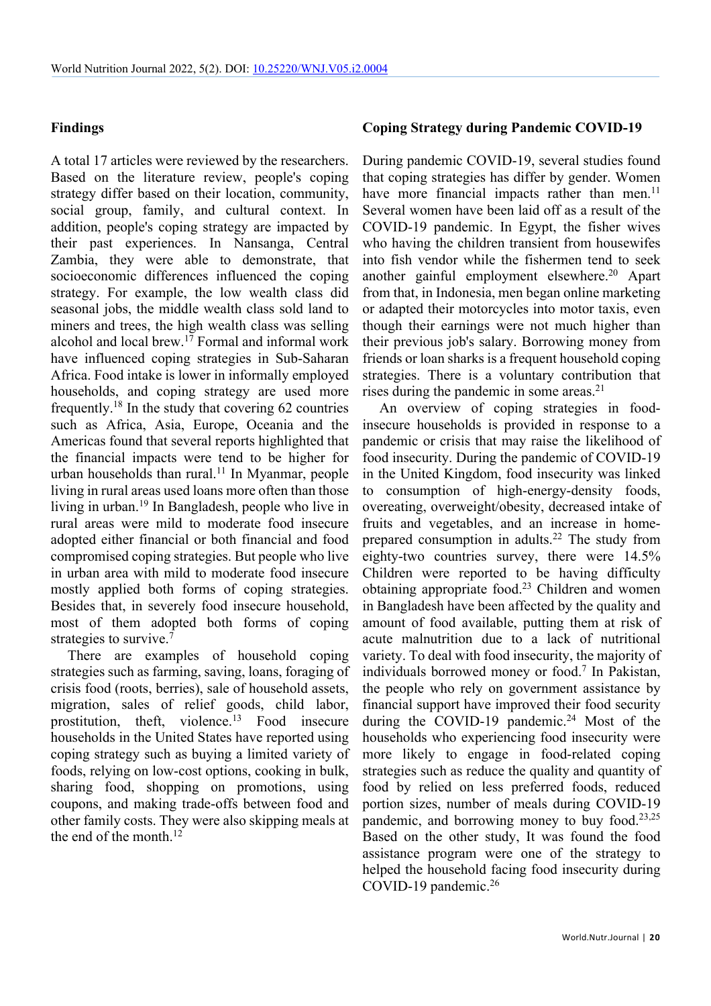#### **Findings**

A total 17 articles were reviewed by the researchers. Based on the literature review, people's coping strategy differ based on their location, community, social group, family, and cultural context. In addition, people's coping strategy are impacted by their past experiences. In Nansanga, Central Zambia, they were able to demonstrate, that socioeconomic differences influenced the coping strategy. For example, the low wealth class did seasonal jobs, the middle wealth class sold land to miners and trees, the high wealth class was selling alcohol and local brew.17 Formal and informal work have influenced coping strategies in Sub-Saharan Africa. Food intake is lower in informally employed households, and coping strategy are used more frequently.18 In the study that covering 62 countries such as Africa, Asia, Europe, Oceania and the Americas found that several reports highlighted that the financial impacts were tend to be higher for urban households than rural.<sup>11</sup> In Myanmar, people living in rural areas used loans more often than those living in urban.19 In Bangladesh, people who live in rural areas were mild to moderate food insecure adopted either financial or both financial and food compromised coping strategies. But people who live in urban area with mild to moderate food insecure mostly applied both forms of coping strategies. Besides that, in severely food insecure household, most of them adopted both forms of coping strategies to survive.<sup>7</sup>

There are examples of household coping strategies such as farming, saving, loans, foraging of crisis food (roots, berries), sale of household assets, migration, sales of relief goods, child labor, prostitution, theft, violence.<sup>13</sup> Food insecure households in the United States have reported using coping strategy such as buying a limited variety of foods, relying on low-cost options, cooking in bulk, sharing food, shopping on promotions, using coupons, and making trade-offs between food and other family costs. They were also skipping meals at the end of the month. $12$ 

#### **Coping Strategy during Pandemic COVID-19**

During pandemic COVID-19, several studies found that coping strategies has differ by gender. Women have more financial impacts rather than men. $^{11}$ Several women have been laid off as a result of the COVID-19 pandemic. In Egypt, the fisher wives who having the children transient from housewifes into fish vendor while the fishermen tend to seek another gainful employment elsewhere.20 Apart from that, in Indonesia, men began online marketing or adapted their motorcycles into motor taxis, even though their earnings were not much higher than their previous job's salary. Borrowing money from friends or loan sharks is a frequent household coping strategies. There is a voluntary contribution that rises during the pandemic in some areas.<sup>21</sup>

An overview of coping strategies in foodinsecure households is provided in response to a pandemic or crisis that may raise the likelihood of food insecurity. During the pandemic of COVID-19 in the United Kingdom, food insecurity was linked to consumption of high-energy-density foods, overeating, overweight/obesity, decreased intake of fruits and vegetables, and an increase in homeprepared consumption in adults.22 The study from eighty-two countries survey, there were 14.5% Children were reported to be having difficulty obtaining appropriate food.23 Children and women in Bangladesh have been affected by the quality and amount of food available, putting them at risk of acute malnutrition due to a lack of nutritional variety. To deal with food insecurity, the majority of individuals borrowed money or food.<sup>7</sup> In Pakistan, the people who rely on government assistance by financial support have improved their food security during the COVID-19 pandemic.<sup>24</sup> Most of the households who experiencing food insecurity were more likely to engage in food-related coping strategies such as reduce the quality and quantity of food by relied on less preferred foods, reduced portion sizes, number of meals during COVID-19 pandemic, and borrowing money to buy food.<sup>23,25</sup> Based on the other study, It was found the food assistance program were one of the strategy to helped the household facing food insecurity during COVID-19 pandemic.<sup>26</sup>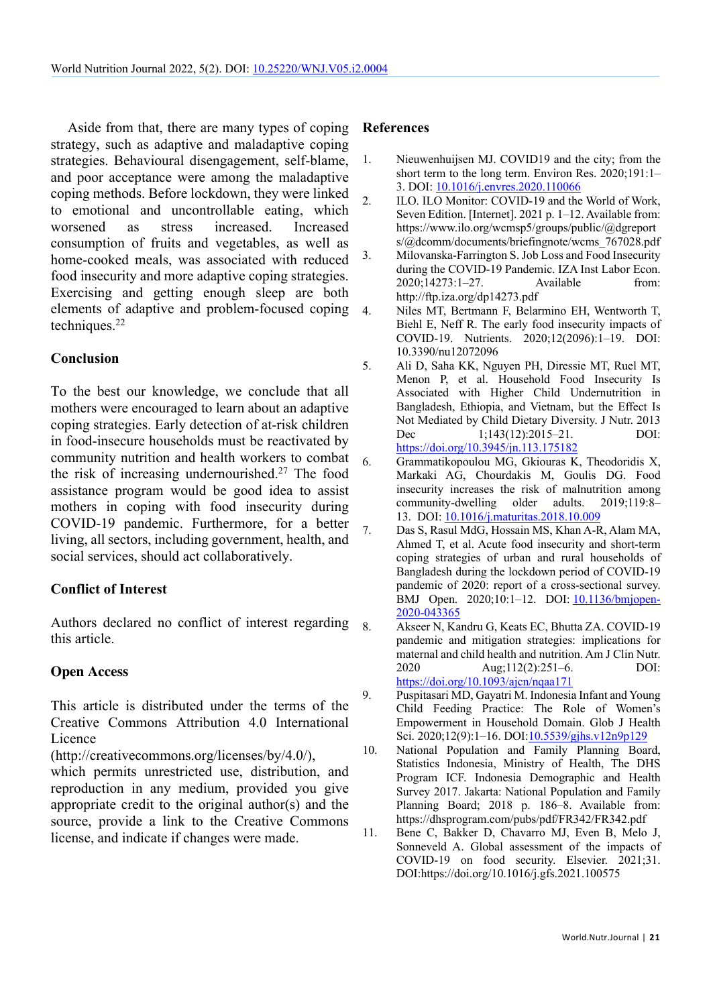Aside from that, there are many types of coping strategy, such as adaptive and maladaptive coping strategies. Behavioural disengagement, self-blame, and poor acceptance were among the maladaptive coping methods. Before lockdown, they were linked to emotional and uncontrollable eating, which worsened as stress increased. Increased consumption of fruits and vegetables, as well as home-cooked meals, was associated with reduced food insecurity and more adaptive coping strategies. Exercising and getting enough sleep are both elements of adaptive and problem-focused coping techniques.22

### **Conclusion**

To the best our knowledge, we conclude that all mothers were encouraged to learn about an adaptive coping strategies. Early detection of at-risk children in food-insecure households must be reactivated by community nutrition and health workers to combat the risk of increasing undernourished. <sup>27</sup> The food assistance program would be good idea to assist mothers in coping with food insecurity during COVID-19 pandemic. Furthermore, for a better living, all sectors, including government, health, and social services, should act collaboratively.

## **Conflict of Interest**

Authors declared no conflict of interest regarding this article.

### **Open Access**

This article is distributed under the terms of the Creative Commons Attribution 4.0 International Licence

(http://creativecommons.org/licenses/by/4.0/),

which permits unrestricted use, distribution, and reproduction in any medium, provided you give appropriate credit to the original author(s) and the source, provide a link to the Creative Commons license, and indicate if changes were made.

#### **References**

- 1. Nieuwenhuijsen MJ. COVID19 and the city; from the short term to the long term. Environ Res. 2020;191:1– 3. DOI: 10.1016/j.envres.2020.110066
- 2. ILO. ILO Monitor: COVID-19 and the World of Work, Seven Edition. [Internet]. 2021 p. 1–12. Available from: https://www.ilo.org/wcmsp5/groups/public/@dgreport s/@dcomm/documents/briefingnote/wcms\_767028.pdf
- 3. Milovanska-Farrington S. Job Loss and Food Insecurity during the COVID-19 Pandemic. IZA Inst Labor Econ. 2020;14273:1–27. Available from: http://ftp.iza.org/dp14273.pdf
- 4. Niles MT, Bertmann F, Belarmino EH, Wentworth T, Biehl E, Neff R. The early food insecurity impacts of COVID-19. Nutrients. 2020;12(2096):1–19. DOI: 10.3390/nu12072096
- 5. Ali D, Saha KK, Nguyen PH, Diressie MT, Ruel MT, Menon P, et al. Household Food Insecurity Is Associated with Higher Child Undernutrition in Bangladesh, Ethiopia, and Vietnam, but the Effect Is Not Mediated by Child Dietary Diversity. J Nutr. 2013 Dec 1;143(12):2015–21. DOI: https://doi.org/10.3945/jn.113.175182
- 6. Grammatikopoulou MG, Gkiouras K, Theodoridis X, Markaki AG, Chourdakis M, Goulis DG. Food insecurity increases the risk of malnutrition among community-dwelling older adults. 2019;119:8– 13. DOI: 10.1016/j.maturitas.2018.10.009
- 7. Das S, Rasul MdG, Hossain MS, Khan A-R, Alam MA, Ahmed T, et al. Acute food insecurity and short-term coping strategies of urban and rural households of Bangladesh during the lockdown period of COVID-19 pandemic of 2020: report of a cross-sectional survey. BMJ Open. 2020;10:1–12. DOI: 10.1136/bmjopen-2020-043365
- 8. Akseer N, Kandru G, Keats EC, Bhutta ZA. COVID-19 pandemic and mitigation strategies: implications for maternal and child health and nutrition. Am J Clin Nutr. 2020 Aug;112(2):251–6. DOI: https://doi.org/10.1093/ajcn/nqaa171
- 9. Puspitasari MD, Gayatri M. Indonesia Infant and Young Child Feeding Practice: The Role of Women's Empowerment in Household Domain. Glob J Health Sci. 2020;12(9):1–16. DOI:10.5539/gjhs.v12n9p129
- 10. National Population and Family Planning Board, Statistics Indonesia, Ministry of Health, The DHS Program ICF. Indonesia Demographic and Health Survey 2017. Jakarta: National Population and Family Planning Board; 2018 p. 186–8. Available from: https://dhsprogram.com/pubs/pdf/FR342/FR342.pdf
- 11. Bene C, Bakker D, Chavarro MJ, Even B, Melo J, Sonneveld A. Global assessment of the impacts of COVID-19 on food security. Elsevier. 2021;31. DOI:https://doi.org/10.1016/j.gfs.2021.100575